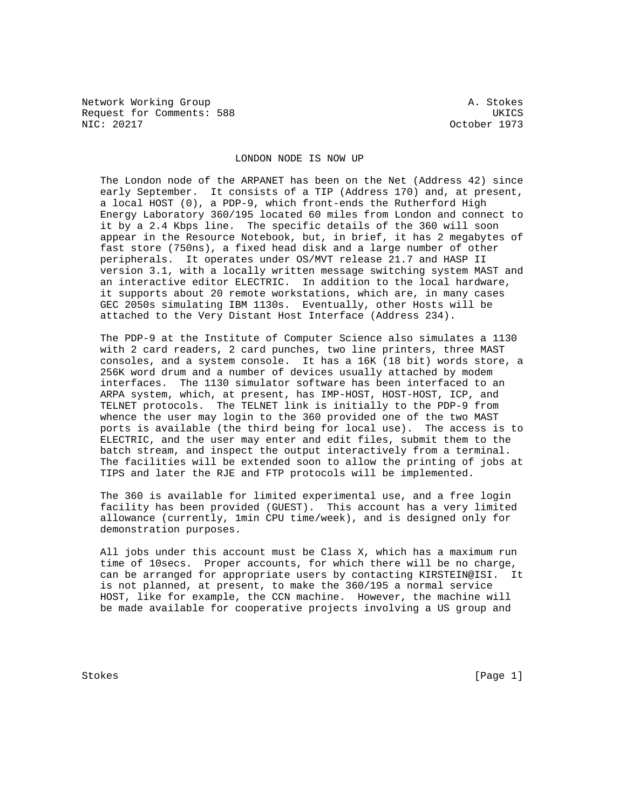Network Working Group and A. Stokes Request for Comments: 588 UKICS<br>NIC: 20217 20217 2021

October 1973

## LONDON NODE IS NOW UP

 The London node of the ARPANET has been on the Net (Address 42) since early September. It consists of a TIP (Address 170) and, at present, a local HOST (0), a PDP-9, which front-ends the Rutherford High Energy Laboratory 360/195 located 60 miles from London and connect to it by a 2.4 Kbps line. The specific details of the 360 will soon appear in the Resource Notebook, but, in brief, it has 2 megabytes of fast store (750ns), a fixed head disk and a large number of other peripherals. It operates under OS/MVT release 21.7 and HASP II version 3.1, with a locally written message switching system MAST and an interactive editor ELECTRIC. In addition to the local hardware, it supports about 20 remote workstations, which are, in many cases GEC 2050s simulating IBM 1130s. Eventually, other Hosts will be attached to the Very Distant Host Interface (Address 234).

 The PDP-9 at the Institute of Computer Science also simulates a 1130 with 2 card readers, 2 card punches, two line printers, three MAST consoles, and a system console. It has a 16K (18 bit) words store, a 256K word drum and a number of devices usually attached by modem interfaces. The 1130 simulator software has been interfaced to an ARPA system, which, at present, has IMP-HOST, HOST-HOST, ICP, and TELNET protocols. The TELNET link is initially to the PDP-9 from whence the user may login to the 360 provided one of the two MAST ports is available (the third being for local use). The access is to ELECTRIC, and the user may enter and edit files, submit them to the batch stream, and inspect the output interactively from a terminal. The facilities will be extended soon to allow the printing of jobs at TIPS and later the RJE and FTP protocols will be implemented.

 The 360 is available for limited experimental use, and a free login facility has been provided (GUEST). This account has a very limited allowance (currently, 1min CPU time/week), and is designed only for demonstration purposes.

 All jobs under this account must be Class X, which has a maximum run time of 10secs. Proper accounts, for which there will be no charge, can be arranged for appropriate users by contacting KIRSTEIN@ISI. It is not planned, at present, to make the 360/195 a normal service HOST, like for example, the CCN machine. However, the machine will be made available for cooperative projects involving a US group and

Stokes [Page 1] Stokes [Page 1] [Page 1] [Page 1] [Page 1]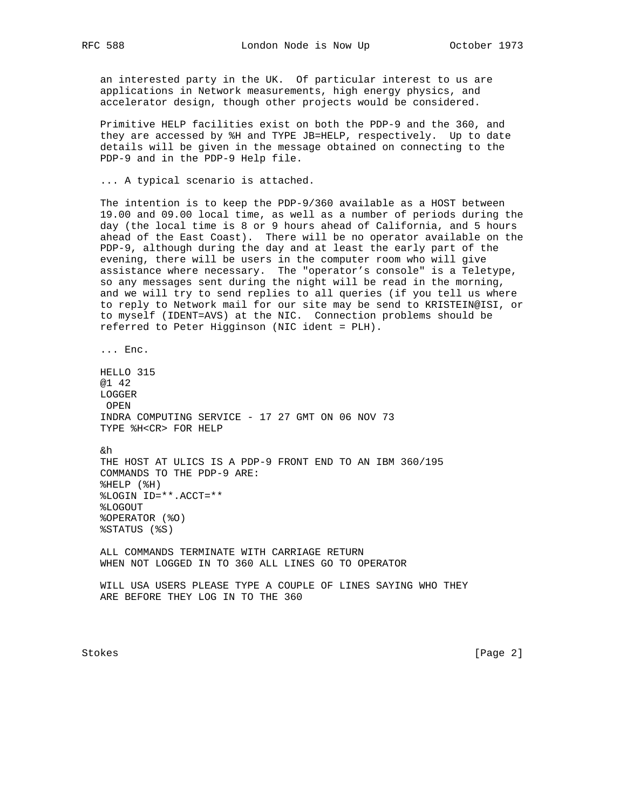an interested party in the UK. Of particular interest to us are applications in Network measurements, high energy physics, and accelerator design, though other projects would be considered.

 Primitive HELP facilities exist on both the PDP-9 and the 360, and they are accessed by %H and TYPE JB=HELP, respectively. Up to date details will be given in the message obtained on connecting to the PDP-9 and in the PDP-9 Help file.

... A typical scenario is attached.

 The intention is to keep the PDP-9/360 available as a HOST between 19.00 and 09.00 local time, as well as a number of periods during the day (the local time is 8 or 9 hours ahead of California, and 5 hours ahead of the East Coast). There will be no operator available on the PDP-9, although during the day and at least the early part of the evening, there will be users in the computer room who will give assistance where necessary. The "operator's console" is a Teletype, so any messages sent during the night will be read in the morning, and we will try to send replies to all queries (if you tell us where to reply to Network mail for our site may be send to KRISTEIN@ISI, or to myself (IDENT=AVS) at the NIC. Connection problems should be referred to Peter Higginson (NIC ident = PLH).

... Enc.

 HELLO 315 @1 42 LOGGER OPEN INDRA COMPUTING SERVICE - 17 27 GMT ON 06 NOV 73 TYPE %H<CR> FOR HELP

&h

 THE HOST AT ULICS IS A PDP-9 FRONT END TO AN IBM 360/195 COMMANDS TO THE PDP-9 ARE: %HELP (%H) %LOGIN ID=\*\*.ACCT=\*\* %LOGOUT %OPERATOR (%O) %STATUS (%S)

 ALL COMMANDS TERMINATE WITH CARRIAGE RETURN WHEN NOT LOGGED IN TO 360 ALL LINES GO TO OPERATOR

 WILL USA USERS PLEASE TYPE A COUPLE OF LINES SAYING WHO THEY ARE BEFORE THEY LOG IN TO THE 360

Stokes [Page 2]